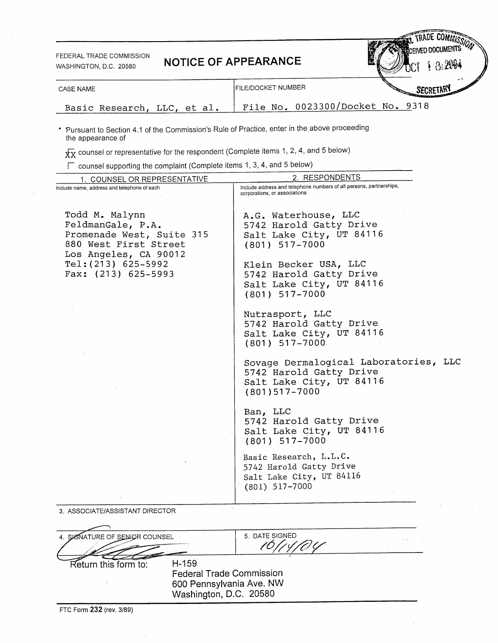FEDERAL TRADE COMMISSION WASHINGTON, D.C. 20580

|  | <b>NOTICE OF APPEARANCE</b> |
|--|-----------------------------|
|--|-----------------------------|

| CASE NAME                   | I FILE/DOCKET NUMBER             | وحامى<br>SECRETARY |
|-----------------------------|----------------------------------|--------------------|
| Basic Research, LLC, et al. | File No. 0023300/Docket No. 9318 |                    |

Pursuant to Section 4.1 of the Commission's Rule of Practice, enter in the above proceeding the appearance of

 $\overline{\text{XX}}$  counsel or representative for the respondent (Complete items 1, 2, 4, and 5 below)

 $\Gamma$  counsel supporting the complaint (Complete items 1, 3, 4, and 5 below)

| Include address and telephone numbers of all persons, partnerships,<br>corporations, or associations                                                                                                |
|-----------------------------------------------------------------------------------------------------------------------------------------------------------------------------------------------------|
|                                                                                                                                                                                                     |
| A.G. Waterhouse, LLC<br>5742 Harold Gatty Drive<br>Salt Lake City, UT 84116<br>$(801)$ 517-7000<br>Klein Becker USA, LLC<br>5742 Harold Gatty Drive<br>Salt Lake City, UT 84116<br>$(801)$ 517-7000 |
| Nutrasport, LLC<br>5742 Harold Gatty Drive<br>Salt Lake City, UT 84116<br>$(801)$ 517-7000                                                                                                          |
| Sovage Dermalogical Laboratories, LLC<br>5742 Harold Gatty Drive<br>Salt Lake City, UT 84116<br>$(801)517 - 7000$                                                                                   |
| Ban, LLC<br>5742 Harold Gatty Drive<br>Salt Lake City, UT 84116<br>$(801)$ 517-7000                                                                                                                 |
| Basic Research, L.L.C.<br>5742 Harold Gatty Drive<br>Salt Lake City, UT 84116<br>$(801)$ 517-7000                                                                                                   |
|                                                                                                                                                                                                     |

3. ASSOCIATE/ASSISTANT DIRECTOR

| 4. SIGNATURE OF SENIOR COUNSEL |         | 5. DATE SIGNED                                                                        |  |
|--------------------------------|---------|---------------------------------------------------------------------------------------|--|
| Return this form to:           | $H-159$ | <b>Federal Trade Commission</b><br>600 Pennsylvania Ave. NW<br>Washington, D.C. 20580 |  |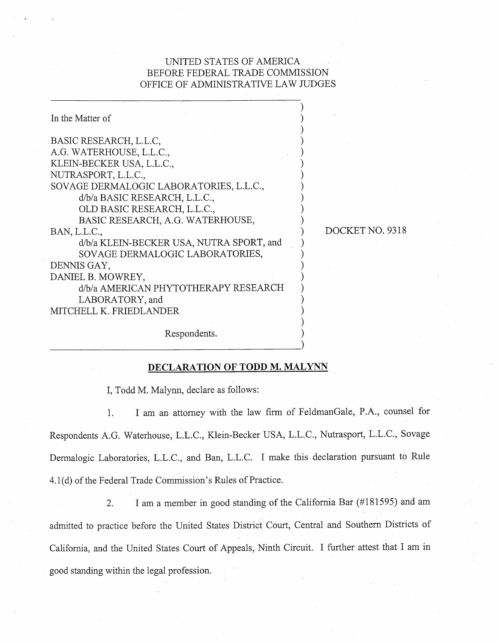## UNITED STATES OF AMERICA BEFORE FEDERAL TRADE COMMISSION OFFICE OF ADMINISTRATIVE LAW JUDGES

| In the Matter of                         |
|------------------------------------------|
|                                          |
| BASIC RESEARCH, L.L.C,                   |
| A.G. WATERHOUSE, L.L.C.,                 |
| KLEIN-BECKER USA, L.L.C.,                |
| NUTRASPORT, L.L.C.,                      |
| SOVAGE DERMALOGIC LABORATORIES, L.L.C.,  |
| d/b/a BASIC RESEARCH, L.L.C.,            |
| OLD BASIC RESEARCH, L.L.C.,              |
| BASIC RESEARCH, A.G. WATERHOUSE,         |
| BAN, L.L.C.,                             |
| d/b/a KLEIN-BECKER USA, NUTRA SPORT, and |
| SOVAGE DERMALOGIC LABORATORIES,          |
| DENNIS GAY,                              |
| DANIEL B. MOWREY,                        |
| d/b/a AMERICAN PHYTOTHERAPY RESEARCH     |
| LABORATORY, and                          |
| MITCHELL K. FRIEDLANDER                  |
|                                          |

DOCKET NO. 9318

Respondents.

## DECLARATION OF TODD M. MALYNN

I, Todd M. Malynn, declare as follows:

I am an attorney with the law firm of FeldmanGale, P.A., counsel for 1. Respondents A.G. Waterhouse, L.L.c. , Klein-Becker CSA, L.L.C. , Nutrasport, L.L.c. , Sovage Dermalogic Laboratories, L.L.C., and Ban, L.L.C. I make this declaration pursuant to Rule 4.1(d) of the Federal Trade Commission's Rules of Practice.

I am a member in good standing of the California Bar (#181595) and am  $2.$ admitted to practice hefore the United States District Court, Central and Southern Districts of California, and the United States Court of Appeals, Ninth Circuit. I further attest that I am in good standing within the legal profession.